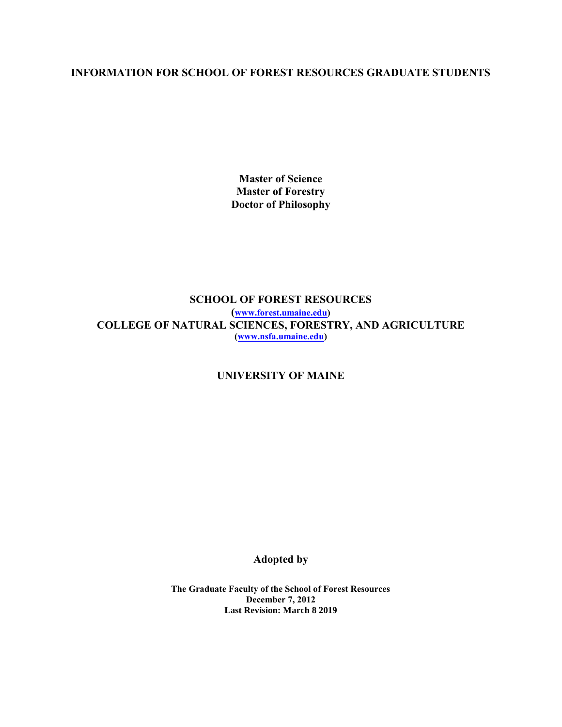### **INFORMATION FOR SCHOOL OF FOREST RESOURCES GRADUATE STUDENTS**

**Master of Science Master of Forestry Doctor of Philosophy**

**SCHOOL OF FOREST RESOURCES ([www.forest.umaine.edu\)](http://www.forest.umaine.edu/) COLLEGE OF NATURAL SCIENCES, FORESTRY, AND AGRICULTURE [\(www.nsfa.umaine.edu\)](http://www.nsfa.umaine.edu/)**

**UNIVERSITY OF MAINE**

**Adopted by**

**The Graduate Faculty of the School of Forest Resources December 7, 2012 Last Revision: March 8 2019**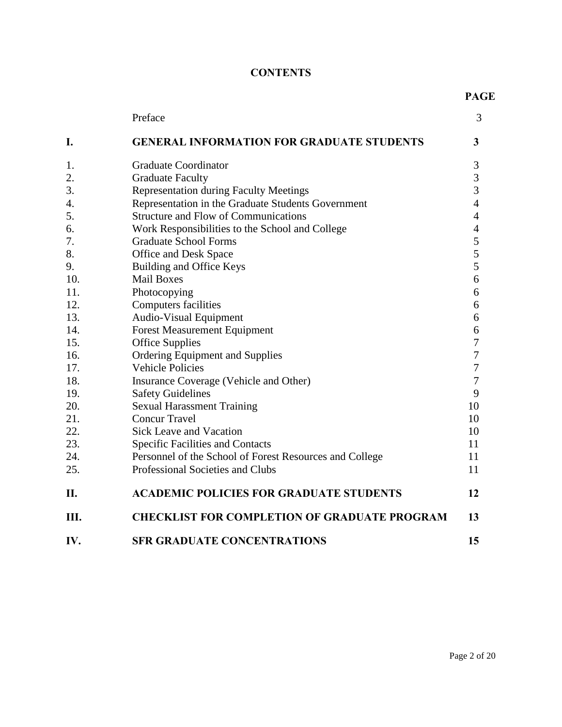# **CONTENTS**

|     | Preface                                                 | 3                        |
|-----|---------------------------------------------------------|--------------------------|
| I.  | <b>GENERAL INFORMATION FOR GRADUATE STUDENTS</b>        | 3                        |
| 1.  | <b>Graduate Coordinator</b>                             | 3                        |
| 2.  | <b>Graduate Faculty</b>                                 | 3                        |
| 3.  | <b>Representation during Faculty Meetings</b>           | 3                        |
| 4.  | Representation in the Graduate Students Government      | $\overline{\mathcal{L}}$ |
| 5.  | <b>Structure and Flow of Communications</b>             | $\overline{4}$           |
| 6.  | Work Responsibilities to the School and College         | $\overline{4}$           |
| 7.  | <b>Graduate School Forms</b>                            | 5                        |
| 8.  | <b>Office and Desk Space</b>                            | 5                        |
| 9.  | Building and Office Keys                                | 5                        |
| 10. | <b>Mail Boxes</b>                                       | 6                        |
| 11. | Photocopying                                            | 6                        |
| 12. | <b>Computers facilities</b>                             | 6                        |
| 13. | <b>Audio-Visual Equipment</b>                           | 6                        |
| 14. | <b>Forest Measurement Equipment</b>                     | 6                        |
| 15. | <b>Office Supplies</b>                                  | 7                        |
| 16. | Ordering Equipment and Supplies                         | $\overline{7}$           |
| 17. | <b>Vehicle Policies</b>                                 | 7                        |
| 18. | Insurance Coverage (Vehicle and Other)                  | 7                        |
| 19. | <b>Safety Guidelines</b>                                | 9                        |
| 20. | <b>Sexual Harassment Training</b>                       | 10                       |
| 21. | <b>Concur Travel</b>                                    | 10                       |
| 22. | <b>Sick Leave and Vacation</b>                          | 10                       |
| 23. | <b>Specific Facilities and Contacts</b>                 | 11                       |
| 24. | Personnel of the School of Forest Resources and College | 11                       |
| 25. | Professional Societies and Clubs                        | 11                       |
| II. | <b>ACADEMIC POLICIES FOR GRADUATE STUDENTS</b>          | 12                       |
| Ш.  | <b>CHECKLIST FOR COMPLETION OF GRADUATE PROGRAM</b>     | 13                       |
| IV. | <b>SFR GRADUATE CONCENTRATIONS</b>                      | 15                       |

**PAGE**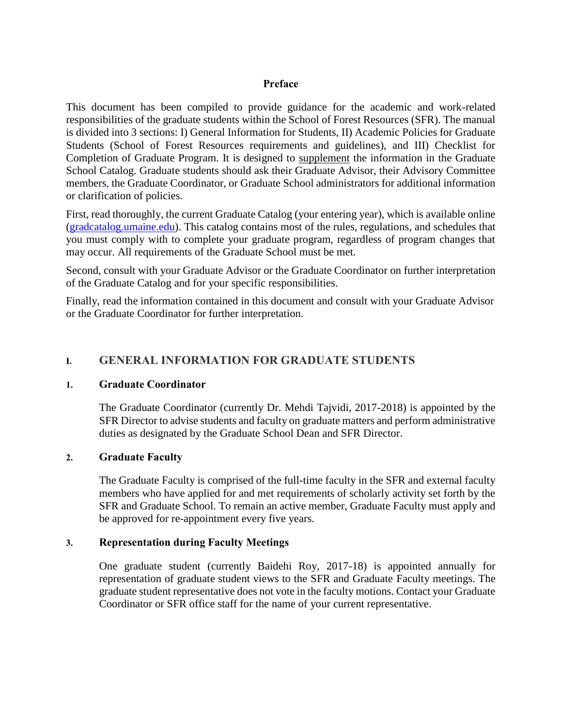#### **Preface**

This document has been compiled to provide guidance for the academic and work-related responsibilities of the graduate students within the School of Forest Resources (SFR). The manual is divided into 3 sections: I) General Information for Students, II) Academic Policies for Graduate Students (School of Forest Resources requirements and guidelines), and III) Checklist for Completion of Graduate Program. It is designed to supplement the information in the Graduate School Catalog. Graduate students should ask their Graduate Advisor, their Advisory Committee members, the Graduate Coordinator, or Graduate School administrators for additional information or clarification of policies.

First, read thoroughly, the current Graduate Catalog (your entering year), which is available online [\(gradcatalog.umaine.edu\)](http://gradcatalog.umaine.edu/). This catalog contains most of the rules, regulations, and schedules that you must comply with to complete your graduate program, regardless of program changes that may occur. All requirements of the Graduate School must be met.

Second, consult with your Graduate Advisor or the Graduate Coordinator on further interpretation of the Graduate Catalog and for your specific responsibilities.

Finally, read the information contained in this document and consult with your Graduate Advisor or the Graduate Coordinator for further interpretation.

### **I. GENERAL INFORMATION FOR GRADUATE STUDENTS**

### **1. Graduate Coordinator**

The Graduate Coordinator (currently Dr. Mehdi Tajvidi, 2017-2018) is appointed by the SFR Director to advise students and faculty on graduate matters and perform administrative duties as designated by the Graduate School Dean and SFR Director.

### **2. Graduate Faculty**

The Graduate Faculty is comprised of the full-time faculty in the SFR and external faculty members who have applied for and met requirements of scholarly activity set forth by the SFR and Graduate School. To remain an active member, Graduate Faculty must apply and be approved for re-appointment every five years.

### **3. Representation during Faculty Meetings**

One graduate student (currently Baidehi Roy, 2017-18) is appointed annually for representation of graduate student views to the SFR and Graduate Faculty meetings. The graduate student representative does not vote in the faculty motions. Contact your Graduate Coordinator or SFR office staff for the name of your current representative.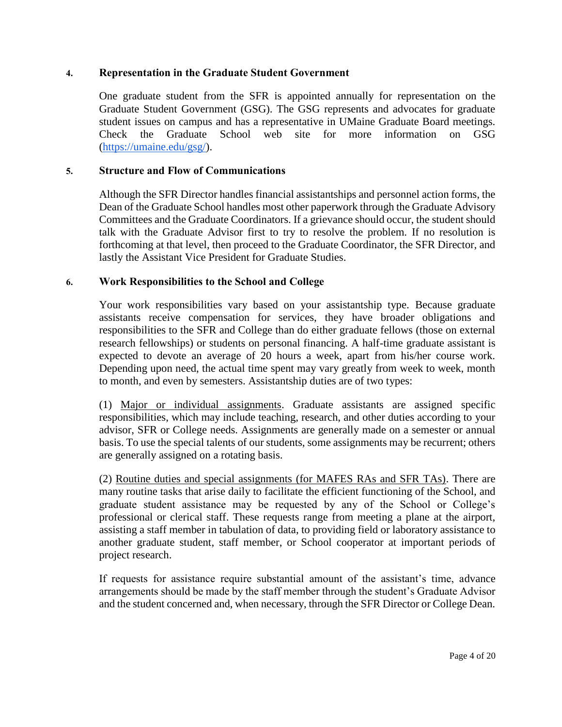### **4. Representation in the Graduate Student Government**

One graduate student from the SFR is appointed annually for representation on the Graduate Student Government (GSG). The GSG represents and advocates for graduate student issues on campus and has a representative in UMaine Graduate Board meetings. Check the Graduate School web site for more information on GSG [\(https://umaine.edu/gsg/\)](https://umaine.edu/gsg/).

#### **5. Structure and Flow of Communications**

Although the SFR Director handles financial assistantships and personnel action forms, the Dean of the Graduate School handles most other paperwork through the Graduate Advisory Committees and the Graduate Coordinators. If a grievance should occur, the student should talk with the Graduate Advisor first to try to resolve the problem. If no resolution is forthcoming at that level, then proceed to the Graduate Coordinator, the SFR Director, and lastly the Assistant Vice President for Graduate Studies.

#### **6. Work Responsibilities to the School and College**

Your work responsibilities vary based on your assistantship type. Because graduate assistants receive compensation for services, they have broader obligations and responsibilities to the SFR and College than do either graduate fellows (those on external research fellowships) or students on personal financing. A half-time graduate assistant is expected to devote an average of 20 hours a week, apart from his/her course work. Depending upon need, the actual time spent may vary greatly from week to week, month to month, and even by semesters. Assistantship duties are of two types:

(1) Major or individual assignments. Graduate assistants are assigned specific responsibilities, which may include teaching, research, and other duties according to your advisor, SFR or College needs. Assignments are generally made on a semester or annual basis. To use the special talents of our students, some assignments may be recurrent; others are generally assigned on a rotating basis.

(2) Routine duties and special assignments (for MAFES RAs and SFR TAs). There are many routine tasks that arise daily to facilitate the efficient functioning of the School, and graduate student assistance may be requested by any of the School or College's professional or clerical staff. These requests range from meeting a plane at the airport, assisting a staff member in tabulation of data, to providing field or laboratory assistance to another graduate student, staff member, or School cooperator at important periods of project research.

If requests for assistance require substantial amount of the assistant's time, advance arrangements should be made by the staff member through the student's Graduate Advisor and the student concerned and, when necessary, through the SFR Director or College Dean.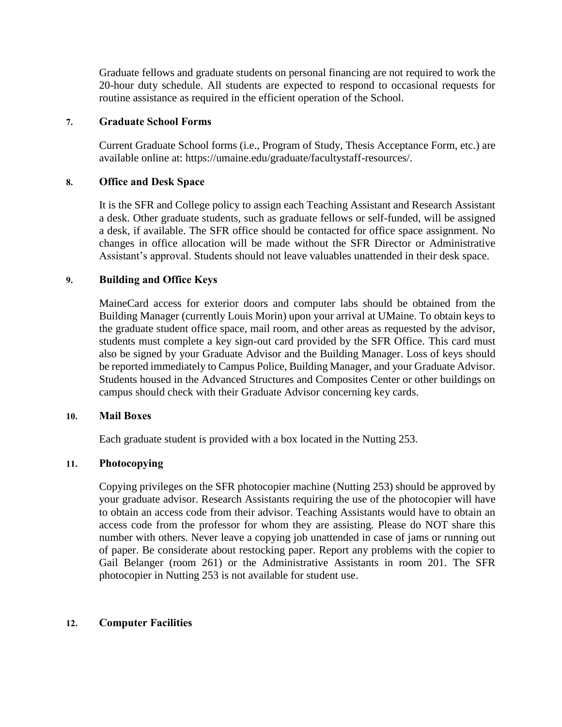Graduate fellows and graduate students on personal financing are not required to work the 20-hour duty schedule. All students are expected to respond to occasional requests for routine assistance as required in the efficient operation of the School.

#### **7. Graduate School Forms**

Current Graduate School forms (i.e., Program of Study, Thesis Acceptance Form, etc.) are available online at: https://umaine.edu/graduate/facultystaff-resources/.

### **8. Office and Desk Space**

It is the SFR and College policy to assign each Teaching Assistant and Research Assistant a desk. Other graduate students, such as graduate fellows or self-funded, will be assigned a desk, if available. The SFR office should be contacted for office space assignment. No changes in office allocation will be made without the SFR Director or Administrative Assistant's approval. Students should not leave valuables unattended in their desk space.

### **9. Building and Office Keys**

MaineCard access for exterior doors and computer labs should be obtained from the Building Manager (currently Louis Morin) upon your arrival at UMaine. To obtain keys to the graduate student office space, mail room, and other areas as requested by the advisor, students must complete a key sign-out card provided by the SFR Office. This card must also be signed by your Graduate Advisor and the Building Manager. Loss of keys should be reported immediately to Campus Police, Building Manager, and your Graduate Advisor. Students housed in the Advanced Structures and Composites Center or other buildings on campus should check with their Graduate Advisor concerning key cards.

#### **10. Mail Boxes**

Each graduate student is provided with a box located in the Nutting 253.

#### **11. Photocopying**

Copying privileges on the SFR photocopier machine (Nutting 253) should be approved by your graduate advisor. Research Assistants requiring the use of the photocopier will have to obtain an access code from their advisor. Teaching Assistants would have to obtain an access code from the professor for whom they are assisting. Please do NOT share this number with others. Never leave a copying job unattended in case of jams or running out of paper. Be considerate about restocking paper. Report any problems with the copier to Gail Belanger (room 261) or the Administrative Assistants in room 201. The SFR photocopier in Nutting 253 is not available for student use.

#### **12. Computer Facilities**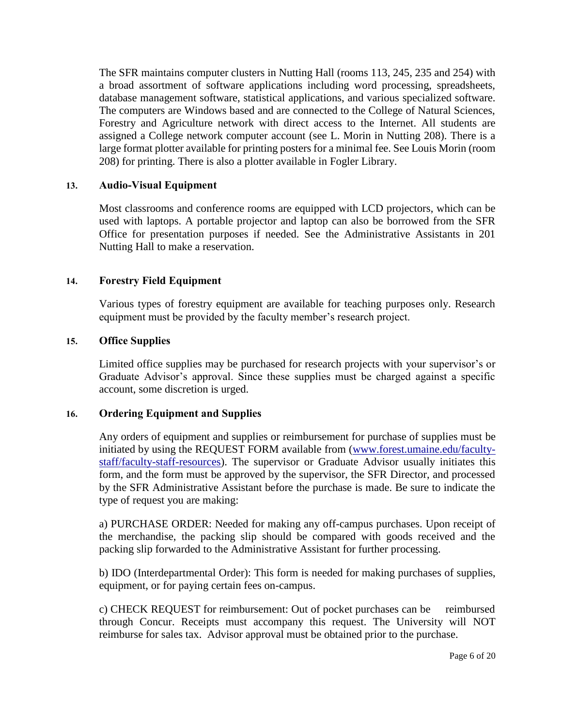The SFR maintains computer clusters in Nutting Hall (rooms 113, 245, 235 and 254) with a broad assortment of software applications including word processing, spreadsheets, database management software, statistical applications, and various specialized software. The computers are Windows based and are connected to the College of Natural Sciences, Forestry and Agriculture network with direct access to the Internet. All students are assigned a College network computer account (see L. Morin in Nutting 208). There is a large format plotter available for printing posters for a minimal fee. See Louis Morin (room 208) for printing. There is also a plotter available in Fogler Library.

### **13. Audio-Visual Equipment**

Most classrooms and conference rooms are equipped with LCD projectors, which can be used with laptops. A portable projector and laptop can also be borrowed from the SFR Office for presentation purposes if needed. See the Administrative Assistants in 201 Nutting Hall to make a reservation.

#### **14. Forestry Field Equipment**

Various types of forestry equipment are available for teaching purposes only. Research equipment must be provided by the faculty member's research project.

#### **15. Office Supplies**

Limited office supplies may be purchased for research projects with your supervisor's or Graduate Advisor's approval. Since these supplies must be charged against a specific account, some discretion is urged.

### **16. Ordering Equipment and Supplies**

Any orders of equipment and supplies or reimbursement for purchase of supplies must be initiated by using the REQUEST FORM available from [\(www.forest.umaine.edu/faculty](http://www.forest.umaine.edu/faculty-staff/faculty-staff-resources)[staff/faculty-staff-resources\)](http://www.forest.umaine.edu/faculty-staff/faculty-staff-resources). The supervisor or Graduate Advisor usually initiates this form, and the form must be approved by the supervisor, the SFR Director, and processed by the SFR Administrative Assistant before the purchase is made. Be sure to indicate the type of request you are making:

a) PURCHASE ORDER: Needed for making any off-campus purchases. Upon receipt of the merchandise, the packing slip should be compared with goods received and the packing slip forwarded to the Administrative Assistant for further processing.

b) IDO (Interdepartmental Order): This form is needed for making purchases of supplies, equipment, or for paying certain fees on-campus.

c) CHECK REQUEST for reimbursement: Out of pocket purchases can be reimbursed through Concur. Receipts must accompany this request. The University will NOT reimburse for sales tax. Advisor approval must be obtained prior to the purchase.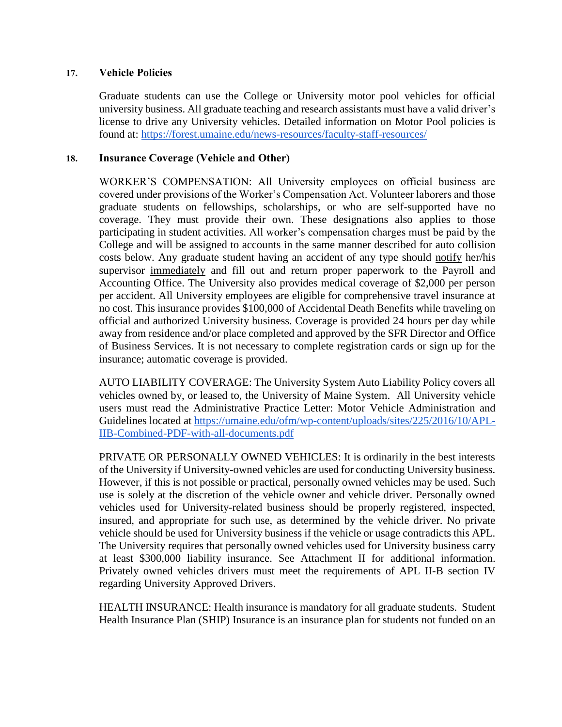### **17. Vehicle Policies**

Graduate students can use the College or University motor pool vehicles for official university business. All graduate teaching and research assistants must have a valid driver's license to drive any University vehicles. Detailed information on Motor Pool policies is found at: <https://forest.umaine.edu/news-resources/faculty-staff-resources/>

#### **18. Insurance Coverage (Vehicle and Other)**

WORKER'S COMPENSATION: All University employees on official business are covered under provisions of the Worker's Compensation Act. Volunteer laborers and those graduate students on fellowships, scholarships, or who are self-supported have no coverage. They must provide their own. These designations also applies to those participating in student activities. All worker's compensation charges must be paid by the College and will be assigned to accounts in the same manner described for auto collision costs below. Any graduate student having an accident of any type should notify her/his supervisor immediately and fill out and return proper paperwork to the Payroll and Accounting Office. The University also provides medical coverage of \$2,000 per person per accident. All University employees are eligible for comprehensive travel insurance at no cost. This insurance provides \$100,000 of Accidental Death Benefits while traveling on official and authorized University business. Coverage is provided 24 hours per day while away from residence and/or place completed and approved by the SFR Director and Office of Business Services. It is not necessary to complete registration cards or sign up for the insurance; automatic coverage is provided.

AUTO LIABILITY COVERAGE: The University System Auto Liability Policy covers all vehicles owned by, or leased to, the University of Maine System. All University vehicle users must read the Administrative Practice Letter: Motor Vehicle Administration and Guidelines located at [https://umaine.edu/ofm/wp-content/uploads/sites/225/2016/10/APL-](https://umaine.edu/ofm/wp-content/uploads/sites/225/2016/10/APL-IIB-Combined-PDF-with-all-documents.pdf)[IIB-Combined-PDF-with-all-documents.pdf](https://umaine.edu/ofm/wp-content/uploads/sites/225/2016/10/APL-IIB-Combined-PDF-with-all-documents.pdf)

PRIVATE OR PERSONALLY OWNED VEHICLES: It is ordinarily in the best interests of the University if University-owned vehicles are used for conducting University business. However, if this is not possible or practical, personally owned vehicles may be used. Such use is solely at the discretion of the vehicle owner and vehicle driver. Personally owned vehicles used for University-related business should be properly registered, inspected, insured, and appropriate for such use, as determined by the vehicle driver. No private vehicle should be used for University business if the vehicle or usage contradicts this APL. The University requires that personally owned vehicles used for University business carry at least \$300,000 liability insurance. See Attachment II for additional information. Privately owned vehicles drivers must meet the requirements of APL II-B section IV regarding University Approved Drivers.

HEALTH INSURANCE: Health insurance is mandatory for all graduate students. Student Health Insurance Plan (SHIP) Insurance is an insurance plan for students not funded on an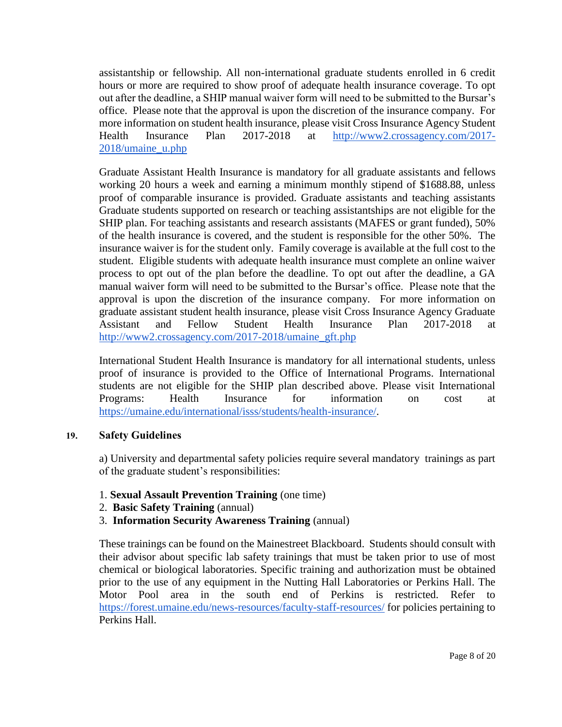assistantship or fellowship. All non-international graduate students enrolled in 6 credit hours or more are required to show proof of adequate health insurance coverage. To opt out after the deadline, a SHIP manual waiver form will need to be submitted to the Bursar's office. Please note that the approval is upon the discretion of the insurance company. For more information on student health insurance, please visit Cross Insurance Agency Student Health Insurance Plan 2017-2018 at [http://www2.crossagency.com/2017-](http://www2.crossagency.com/2017-2018/umaine_u.php) [2018/umaine\\_u.php](http://www2.crossagency.com/2017-2018/umaine_u.php)

Graduate Assistant Health Insurance is mandatory for all graduate assistants and fellows working 20 hours a week and earning a minimum monthly stipend of \$1688.88, unless proof of comparable insurance is provided. Graduate assistants and teaching assistants Graduate students supported on research or teaching assistantships are not eligible for the SHIP plan. For teaching assistants and research assistants (MAFES or grant funded), 50% of the health insurance is covered, and the student is responsible for the other 50%. The insurance waiver is for the student only. Family coverage is available at the full cost to the student. Eligible students with adequate health insurance must complete an online waiver process to opt out of the plan before the deadline. To opt out after the deadline, a GA manual waiver form will need to be submitted to the Bursar's office. Please note that the approval is upon the discretion of the insurance company. For more information on graduate assistant student health insurance, please visit Cross Insurance Agency Graduate Assistant and Fellow Student Health Insurance Plan 2017-2018 at [http://www2.crossagency.com/2017-2018/umaine\\_gft.php](http://www2.crossagency.com/2017-2018/umaine_gft.php)

International Student Health Insurance is mandatory for all international students, unless proof of insurance is provided to the Office of International Programs. International students are not eligible for the SHIP plan described above. Please visit International Programs: Health Insurance for information on cost at [https://umaine.edu/international/isss/students/health-insurance/.](https://umaine.edu/international/isss/students/health-insurance/)

### **19. Safety Guidelines**

a) University and departmental safety policies require several mandatory trainings as part of the graduate student's responsibilities:

### 1. **Sexual Assault Prevention Training** (one time)

- 2. **Basic Safety Training** (annual)
- 3. **Information Security Awareness Training** (annual[\)](https://www.courses.maine.edu/webapps/portal/frameset.jsp)

These trainings can be found on the Mainestreet Blackboard. Students should consult with their advisor about specific lab safety trainings that must be taken prior to use of most chemical or biological laboratories. Specific training and authorization must be obtained prior to the use of any equipment in the Nutting Hall Laboratories or Perkins Hall. The Motor Pool area in the south end of Perkins is restricted. Refer to <https://forest.umaine.edu/news-resources/faculty-staff-resources/> for policies pertaining to Perkins Hall.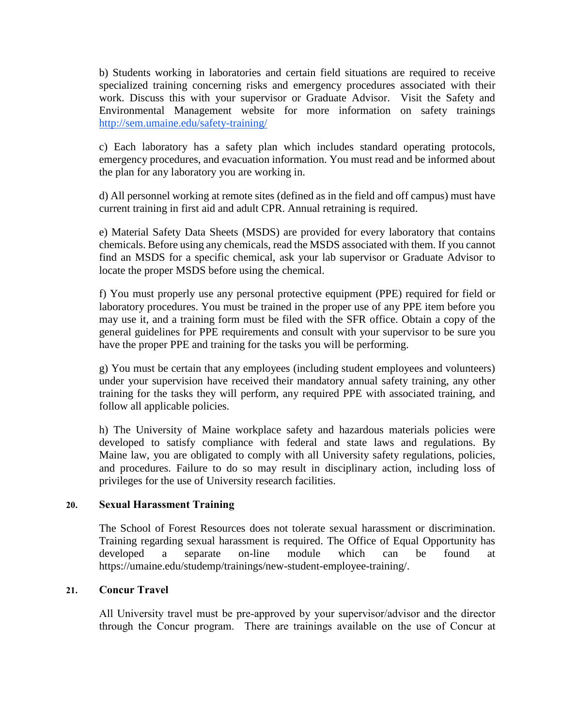b) Students working in laboratories and certain field situations are required to receive specialized training concerning risks and emergency procedures associated with their work. Discuss this with your supervisor or Graduate Advisor. Visit the Safety and Environmental Management website for more information on safety trainings <http://sem.umaine.edu/safety-training/>

c) Each laboratory has a safety plan which includes standard operating protocols, emergency procedures, and evacuation information. You must read and be informed about the plan for any laboratory you are working in.

d) All personnel working at remote sites (defined as in the field and off campus) must have current training in first aid and adult CPR. Annual retraining is required.

e) Material Safety Data Sheets (MSDS) are provided for every laboratory that contains chemicals. Before using any chemicals, read the MSDS associated with them. If you cannot find an MSDS for a specific chemical, ask your lab supervisor or Graduate Advisor to locate the proper MSDS before using the chemical.

f) You must properly use any personal protective equipment (PPE) required for field or laboratory procedures. You must be trained in the proper use of any PPE item before you may use it, and a training form must be filed with the SFR office. Obtain a copy of the general guidelines for PPE requirements and consult with your supervisor to be sure you have the proper PPE and training for the tasks you will be performing.

g) You must be certain that any employees (including student employees and volunteers) under your supervision have received their mandatory annual safety training, any other training for the tasks they will perform, any required PPE with associated training, and follow all applicable policies.

h) The University of Maine workplace safety and hazardous materials policies were developed to satisfy compliance with federal and state laws and regulations. By Maine law, you are obligated to comply with all University safety regulations, policies, and procedures. Failure to do so may result in disciplinary action, including loss of privileges for the use of University research facilities.

### **20. Sexual Harassment Training**

The School of Forest Resources does not tolerate sexual harassment or discrimination. Training regarding sexual harassment is required. The Office of Equal Opportunity has developed a separate on-line module which can be found at https://umaine.edu/studemp/trainings/new-student-employee-training/.

### **21. Concur Travel**

All University travel must be pre-approved by your supervisor/advisor and the director through the Concur program. There are trainings available on the use of Concur at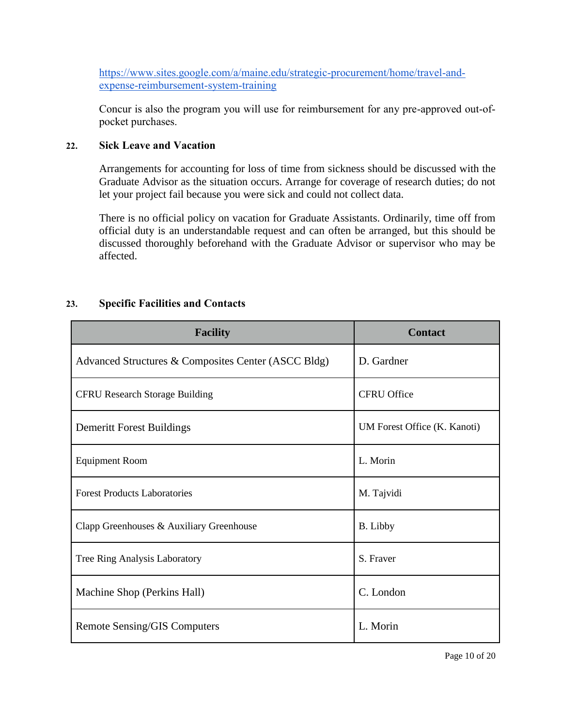[https://www.sites.google.com/a/maine.edu/strategic-procurement/home/travel-and](https://www.sites.google.com/a/maine.edu/strategic-procurement/home/travel-and-expense-reimbursement-system-training)[expense-reimbursement-system-training](https://www.sites.google.com/a/maine.edu/strategic-procurement/home/travel-and-expense-reimbursement-system-training)

Concur is also the program you will use for reimbursement for any pre-approved out-ofpocket purchases.

### **22. Sick Leave and Vacation**

Arrangements for accounting for loss of time from sickness should be discussed with the Graduate Advisor as the situation occurs. Arrange for coverage of research duties; do not let your project fail because you were sick and could not collect data.

There is no official policy on vacation for Graduate Assistants. Ordinarily, time off from official duty is an understandable request and can often be arranged, but this should be discussed thoroughly beforehand with the Graduate Advisor or supervisor who may be affected.

### **23. Specific Facilities and Contacts**

| <b>Facility</b>                                     | <b>Contact</b>               |
|-----------------------------------------------------|------------------------------|
| Advanced Structures & Composites Center (ASCC Bldg) | D. Gardner                   |
| <b>CFRU Research Storage Building</b>               | <b>CFRU Office</b>           |
| Demeritt Forest Buildings                           | UM Forest Office (K. Kanoti) |
| <b>Equipment Room</b>                               | L. Morin                     |
| <b>Forest Products Laboratories</b>                 | M. Tajvidi                   |
| Clapp Greenhouses & Auxiliary Greenhouse            | <b>B.</b> Libby              |
| Tree Ring Analysis Laboratory                       | S. Fraver                    |
| Machine Shop (Perkins Hall)                         | C. London                    |
| Remote Sensing/GIS Computers                        | L. Morin                     |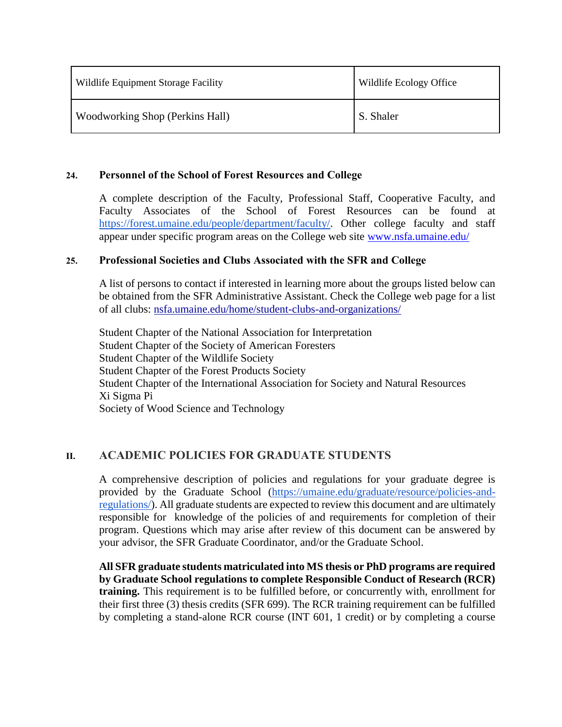| Wildlife Equipment Storage Facility    | Wildlife Ecology Office |
|----------------------------------------|-------------------------|
| <b>Woodworking Shop (Perkins Hall)</b> | S. Shaler               |

### **24. Personnel of the School of Forest Resources and College**

A complete description of the Faculty, Professional Staff, Cooperative Faculty, and Faculty Associates of the School of Forest Resources can be found at [https://forest.umaine.edu/people/department/faculty/.](https://forest.umaine.edu/people/department/faculty/) Other college faculty and staff appear under specific program areas on the College web site [www.nsfa.umaine.edu/](http://www.nsfa.umaine.edu/)

#### **25. Professional Societies and Clubs Associated with the SFR and College**

A list of persons to contact if interested in learning more about the groups listed below can be obtained from the SFR Administrative Assistant. Check the College web page for a list of all clubs: [nsfa.umaine.edu/home/student-clubs-and-organizations/](http://nsfa.umaine.edu/home/student-clubs-and-organizations/)

Student Chapter of the National Association for Interpretation Student Chapter of the Society of American Foresters Student Chapter of the Wildlife Society Student Chapter of the Forest Products Society Student Chapter of the International Association for Society and Natural Resources Xi Sigma Pi Society of Wood Science and Technology

### **II. ACADEMIC POLICIES FOR GRADUATE STUDENTS**

A comprehensive description of policies and regulations for your graduate degree is provided by the Graduate School [\(https://umaine.edu/graduate/resource/policies-and](https://umaine.edu/graduate/resource/policies-and-regulations/)[regulations/\)](https://umaine.edu/graduate/resource/policies-and-regulations/). All graduate students are expected to review this document and are ultimately responsible for knowledge of the policies of and requirements for completion of their program. Questions which may arise after review of this document can be answered by your advisor, the SFR Graduate Coordinator, and/or the Graduate School.

**All SFR graduate students matriculated into MS thesis or PhD programs are required by Graduate School regulations to complete Responsible Conduct of Research (RCR) training.** This requirement is to be fulfilled before, or concurrently with, enrollment for their first three (3) thesis credits (SFR 699). The RCR training requirement can be fulfilled by completing a stand-alone RCR course (INT 601, 1 credit) or by completing a course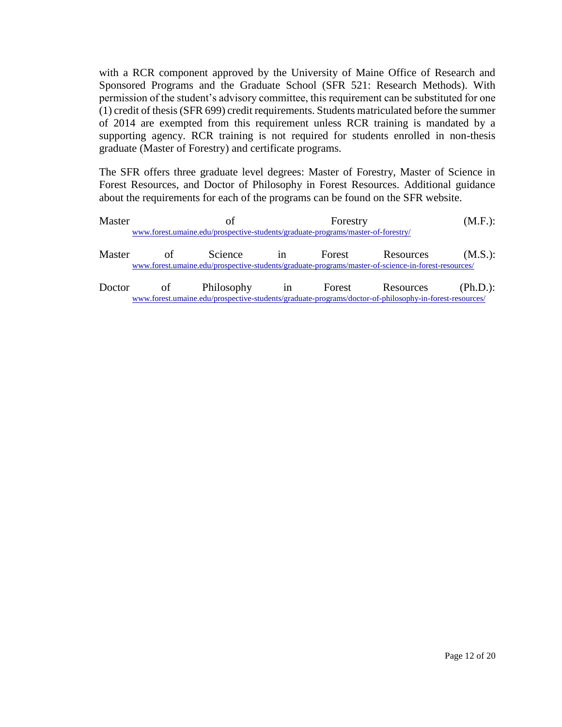with a RCR component approved by the University of Maine Office of Research and Sponsored Programs and the Graduate School (SFR 521: Research Methods). With permission of the student's advisory committee, this requirement can be substituted for one (1) credit of thesis (SFR 699) credit requirements. Students matriculated before the summer of 2014 are exempted from this requirement unless RCR training is mandated by a supporting agency. RCR training is not required for students enrolled in non-thesis graduate (Master of Forestry) and certificate programs.

The SFR offers three graduate level degrees: Master of Forestry, Master of Science in Forest Resources, and Doctor of Philosophy in Forest Resources. Additional guidance about the requirements for each of the programs can be found on the SFR website.

| Master |    | Ωt                                                                               | Forestry |                                                                                                        | $(M.F.)$ : |
|--------|----|----------------------------------------------------------------------------------|----------|--------------------------------------------------------------------------------------------------------|------------|
|        |    | www.forest.umaine.edu/prospective-students/graduate-programs/master-of-forestry/ |          |                                                                                                        |            |
| Master | of | Science in                                                                       |          | Forest Resources                                                                                       | (M.S.):    |
|        |    |                                                                                  |          | www.forest.umaine.edu/prospective-students/graduate-programs/master-of-science-in-forest-resources/    |            |
| Doctor |    | of Philosophy in Forest Resources                                                |          |                                                                                                        | (Ph.D.):   |
|        |    |                                                                                  |          | www.forest.umaine.edu/prospective-students/graduate-programs/doctor-of-philosophy-in-forest-resources/ |            |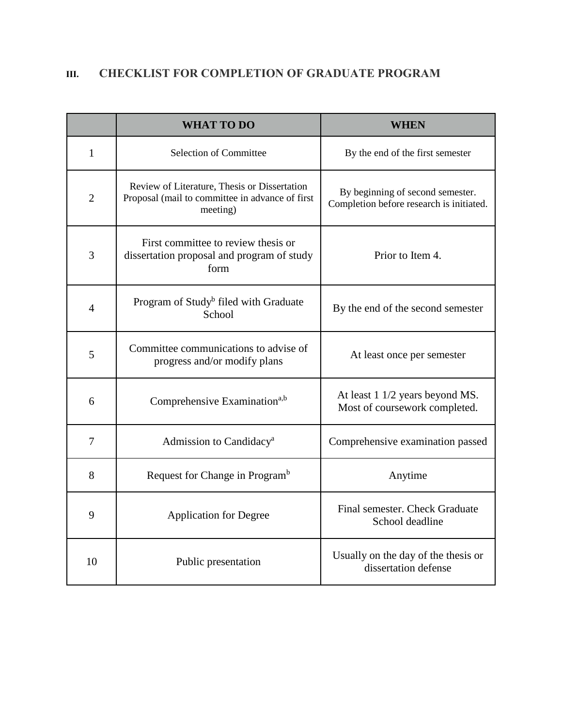# **III. CHECKLIST FOR COMPLETION OF GRADUATE PROGRAM**

|                | <b>WHAT TO DO</b>                                                                                           | <b>WHEN</b>                                                                  |
|----------------|-------------------------------------------------------------------------------------------------------------|------------------------------------------------------------------------------|
| $\mathbf{1}$   | <b>Selection of Committee</b>                                                                               | By the end of the first semester                                             |
| $\overline{2}$ | Review of Literature, Thesis or Dissertation<br>Proposal (mail to committee in advance of first<br>meeting) | By beginning of second semester.<br>Completion before research is initiated. |
| 3              | First committee to review thesis or<br>dissertation proposal and program of study<br>form                   | Prior to Item 4.                                                             |
| $\overline{4}$ | Program of Study <sup>b</sup> filed with Graduate<br>School                                                 | By the end of the second semester                                            |
| 5              | Committee communications to advise of<br>progress and/or modify plans                                       | At least once per semester                                                   |
| 6              | Comprehensive Examination <sup>a,b</sup>                                                                    | At least 1 1/2 years beyond MS.<br>Most of coursework completed.             |
| $\tau$         | Admission to Candidacy <sup>a</sup>                                                                         | Comprehensive examination passed                                             |
| 8              | Request for Change in Program <sup>b</sup>                                                                  | Anytime                                                                      |
| 9              | <b>Application for Degree</b>                                                                               | Final semester. Check Graduate<br>School deadline                            |
| 10             | Public presentation                                                                                         | Usually on the day of the thesis or<br>dissertation defense                  |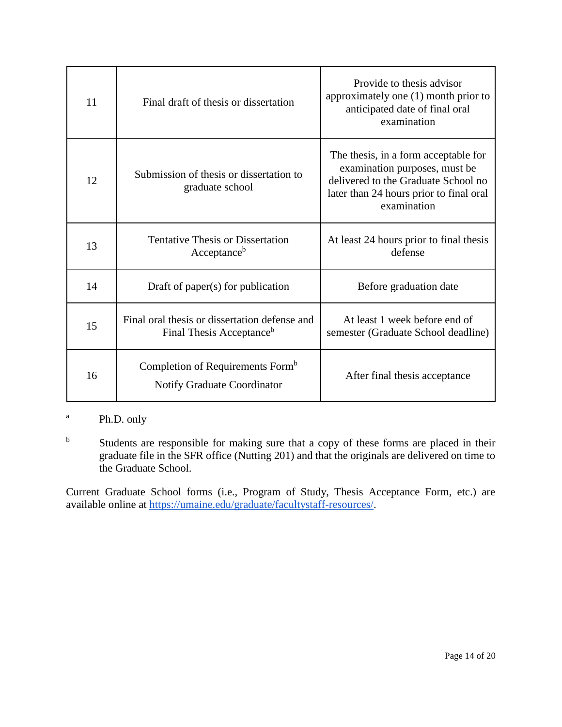| 11 | Final draft of thesis or dissertation                                                 | Provide to thesis advisor<br>approximately one (1) month prior to<br>anticipated date of final oral<br>examination                                                     |
|----|---------------------------------------------------------------------------------------|------------------------------------------------------------------------------------------------------------------------------------------------------------------------|
| 12 | Submission of thesis or dissertation to<br>graduate school                            | The thesis, in a form acceptable for<br>examination purposes, must be<br>delivered to the Graduate School no<br>later than 24 hours prior to final oral<br>examination |
| 13 | <b>Tentative Thesis or Dissertation</b><br>Acceptanceb                                | At least 24 hours prior to final thesis<br>defense                                                                                                                     |
| 14 | Draft of paper $(s)$ for publication                                                  | Before graduation date                                                                                                                                                 |
| 15 | Final oral thesis or dissertation defense and<br>Final Thesis Acceptance <sup>b</sup> | At least 1 week before end of<br>semester (Graduate School deadline)                                                                                                   |
| 16 | Completion of Requirements Form <sup>b</sup><br>Notify Graduate Coordinator           | After final thesis acceptance                                                                                                                                          |

## <sup>a</sup> Ph.D. only

<sup>b</sup> Students are responsible for making sure that a copy of these forms are placed in their graduate file in the SFR office (Nutting 201) and that the originals are delivered on time to the Graduate School.

Current Graduate School forms (i.e., Program of Study, Thesis Acceptance Form, etc.) are available online at [https://umaine.edu/graduate/facultystaff-resources/.](https://umaine.edu/graduate/facultystaff-resources/)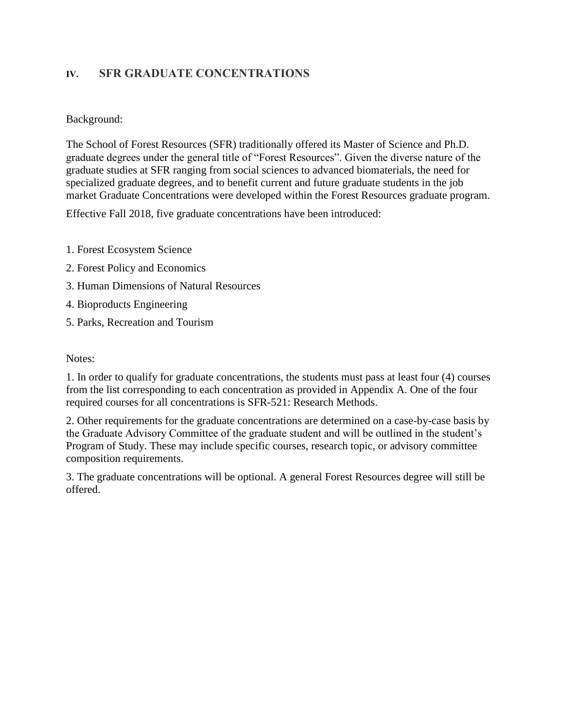# **IV. SFR GRADUATE CONCENTRATIONS**

### Background:

The School of Forest Resources (SFR) traditionally offered its Master of Science and Ph.D. graduate degrees under the general title of "Forest Resources". Given the diverse nature of the graduate studies at SFR ranging from social sciences to advanced biomaterials, the need for specialized graduate degrees, and to benefit current and future graduate students in the job market Graduate Concentrations were developed within the Forest Resources graduate program.

Effective Fall 2018, five graduate concentrations have been introduced:

- 1. Forest Ecosystem Science
- 2. Forest Policy and Economics
- 3. Human Dimensions of Natural Resources
- 4. Bioproducts Engineering
- 5. Parks, Recreation and Tourism

### Notes:

1. In order to qualify for graduate concentrations, the students must pass at least four (4) courses from the list corresponding to each concentration as provided in Appendix A. One of the four required courses for all concentrations is SFR-521: Research Methods.

2. Other requirements for the graduate concentrations are determined on a case-by-case basis by the Graduate Advisory Committee of the graduate student and will be outlined in the student's Program of Study. These may include specific courses, research topic, or advisory committee composition requirements.

3. The graduate concentrations will be optional. A general Forest Resources degree will still be offered.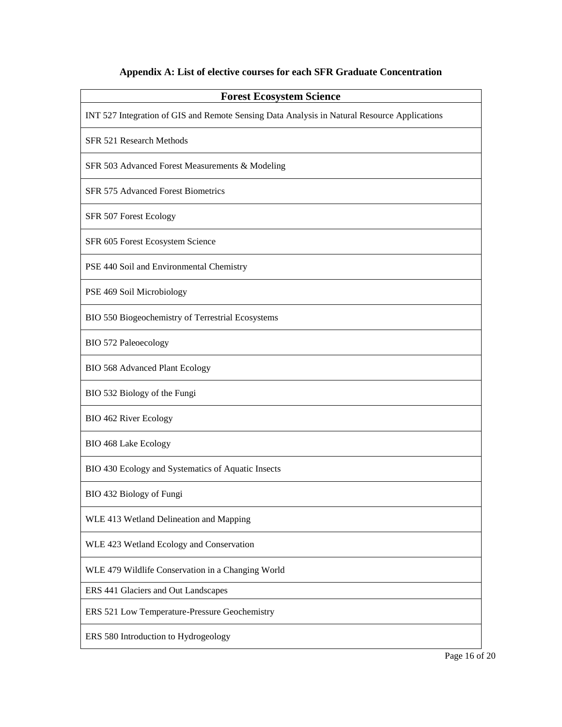# **Appendix A: List of elective courses for each SFR Graduate Concentration**

| <b>Forest Ecosystem Science</b>                                                              |
|----------------------------------------------------------------------------------------------|
| INT 527 Integration of GIS and Remote Sensing Data Analysis in Natural Resource Applications |
| SFR 521 Research Methods                                                                     |
| SFR 503 Advanced Forest Measurements & Modeling                                              |
| SFR 575 Advanced Forest Biometrics                                                           |
| SFR 507 Forest Ecology                                                                       |
| SFR 605 Forest Ecosystem Science                                                             |
| PSE 440 Soil and Environmental Chemistry                                                     |
| PSE 469 Soil Microbiology                                                                    |
| BIO 550 Biogeochemistry of Terrestrial Ecosystems                                            |
| <b>BIO 572 Paleoecology</b>                                                                  |
| <b>BIO 568 Advanced Plant Ecology</b>                                                        |
| BIO 532 Biology of the Fungi                                                                 |
| BIO 462 River Ecology                                                                        |
| <b>BIO 468 Lake Ecology</b>                                                                  |
| BIO 430 Ecology and Systematics of Aquatic Insects                                           |
| BIO 432 Biology of Fungi                                                                     |
| WLE 413 Wetland Delineation and Mapping                                                      |
| WLE 423 Wetland Ecology and Conservation                                                     |
| WLE 479 Wildlife Conservation in a Changing World                                            |
| ERS 441 Glaciers and Out Landscapes                                                          |
| ERS 521 Low Temperature-Pressure Geochemistry                                                |
| ERS 580 Introduction to Hydrogeology                                                         |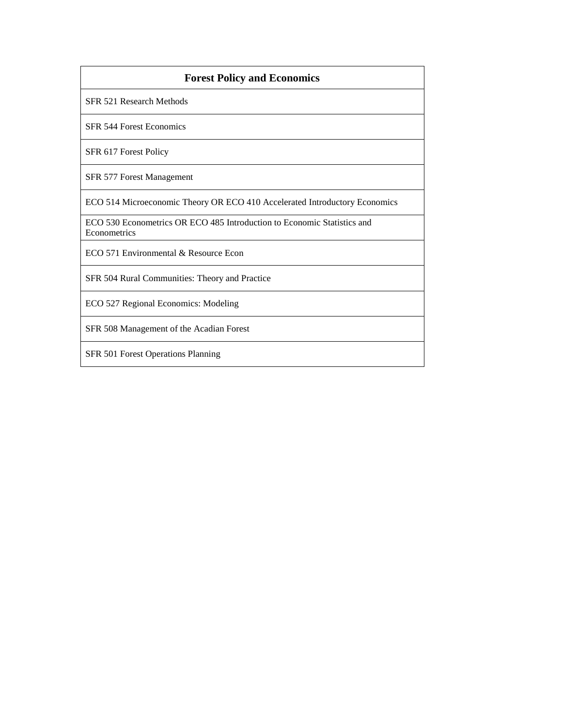| <b>Forest Policy and Economics</b>                                                      |
|-----------------------------------------------------------------------------------------|
| SFR 521 Research Methods                                                                |
| <b>SFR 544 Forest Economics</b>                                                         |
| SFR 617 Forest Policy                                                                   |
| SFR 577 Forest Management                                                               |
| ECO 514 Microeconomic Theory OR ECO 410 Accelerated Introductory Economics              |
| ECO 530 Econometrics OR ECO 485 Introduction to Economic Statistics and<br>Econometrics |
| $ECO$ 571 Environmental & Resource Econ                                                 |
| SFR 504 Rural Communities: Theory and Practice                                          |
| ECO 527 Regional Economics: Modeling                                                    |
| SFR 508 Management of the Acadian Forest                                                |
| SFR 501 Forest Operations Planning                                                      |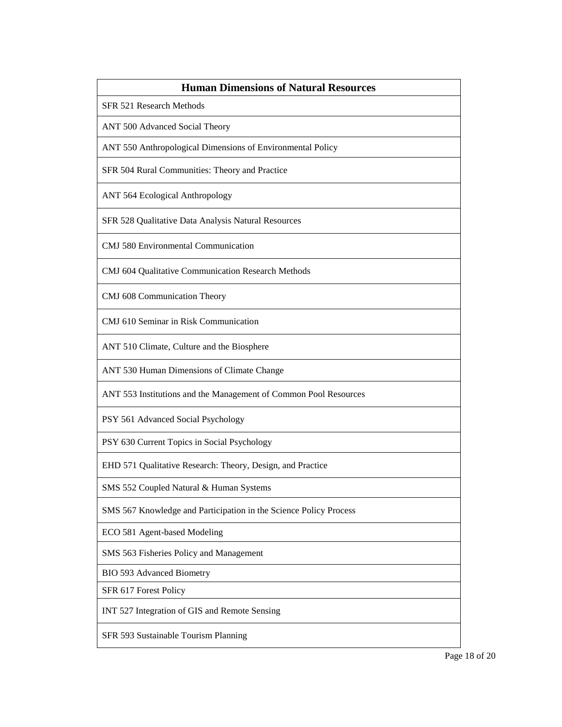| <b>Human Dimensions of Natural Resources</b>                      |
|-------------------------------------------------------------------|
| SFR 521 Research Methods                                          |
| ANT 500 Advanced Social Theory                                    |
| ANT 550 Anthropological Dimensions of Environmental Policy        |
| SFR 504 Rural Communities: Theory and Practice                    |
| ANT 564 Ecological Anthropology                                   |
| SFR 528 Qualitative Data Analysis Natural Resources               |
| <b>CMJ</b> 580 Environmental Communication                        |
| CMJ 604 Qualitative Communication Research Methods                |
| CMJ 608 Communication Theory                                      |
| CMJ 610 Seminar in Risk Communication                             |
| ANT 510 Climate, Culture and the Biosphere                        |
| ANT 530 Human Dimensions of Climate Change                        |
| ANT 553 Institutions and the Management of Common Pool Resources  |
| PSY 561 Advanced Social Psychology                                |
| PSY 630 Current Topics in Social Psychology                       |
| EHD 571 Qualitative Research: Theory, Design, and Practice        |
| SMS 552 Coupled Natural & Human Systems                           |
| SMS 567 Knowledge and Participation in the Science Policy Process |
| ECO 581 Agent-based Modeling                                      |
| SMS 563 Fisheries Policy and Management                           |
| BIO 593 Advanced Biometry                                         |
| SFR 617 Forest Policy                                             |
| INT 527 Integration of GIS and Remote Sensing                     |
| SFR 593 Sustainable Tourism Planning                              |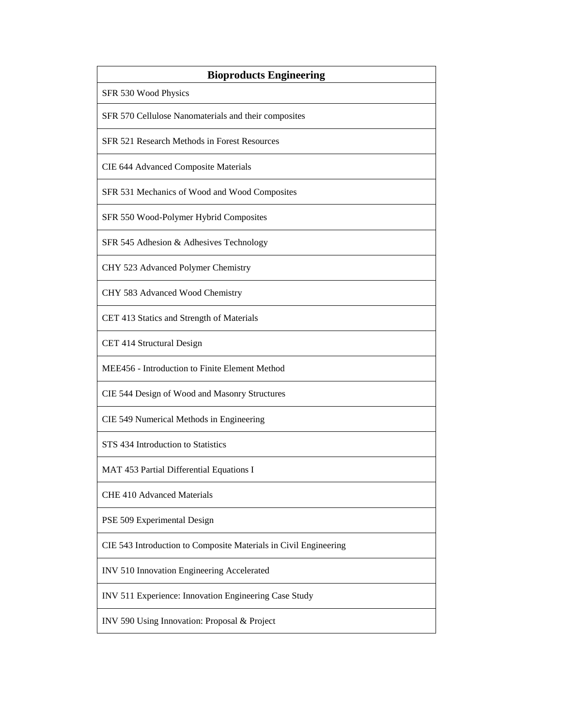| <b>Bioproducts Engineering</b>                                   |
|------------------------------------------------------------------|
| SFR 530 Wood Physics                                             |
| SFR 570 Cellulose Nanomaterials and their composites             |
| SFR 521 Research Methods in Forest Resources                     |
| CIE 644 Advanced Composite Materials                             |
| SFR 531 Mechanics of Wood and Wood Composites                    |
| SFR 550 Wood-Polymer Hybrid Composites                           |
| SFR 545 Adhesion & Adhesives Technology                          |
| CHY 523 Advanced Polymer Chemistry                               |
| CHY 583 Advanced Wood Chemistry                                  |
| CET 413 Statics and Strength of Materials                        |
| CET 414 Structural Design                                        |
| MEE456 - Introduction to Finite Element Method                   |
| CIE 544 Design of Wood and Masonry Structures                    |
| CIE 549 Numerical Methods in Engineering                         |
| STS 434 Introduction to Statistics                               |
| MAT 453 Partial Differential Equations I                         |
| <b>CHE 410 Advanced Materials</b>                                |
| PSE 509 Experimental Design                                      |
| CIE 543 Introduction to Composite Materials in Civil Engineering |
| INV 510 Innovation Engineering Accelerated                       |
| INV 511 Experience: Innovation Engineering Case Study            |
| INV 590 Using Innovation: Proposal & Project                     |